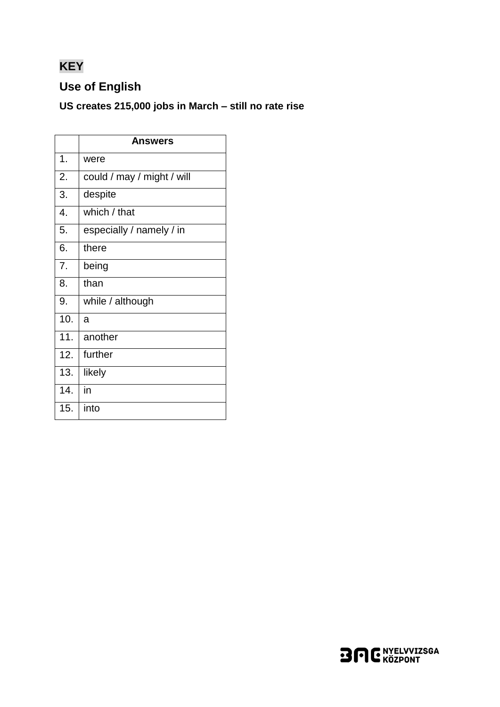# **KEY**

## **Use of English**

### US creates 215,000 jobs in March - still no rate rise

|     | <b>Answers</b>             |
|-----|----------------------------|
| 1.  | were                       |
| 2.  | could / may / might / will |
| 3.  | despite                    |
| 4.  | which / that               |
| 5.  | especially / namely / in   |
| 6.  | there                      |
| 7.  | being                      |
| 8.  | than                       |
| 9.  | while / although           |
| 10. | a                          |
| 11. | another                    |
| 12. | further                    |
| 13. | likely                     |
| 14. | in                         |
| 15. | into                       |